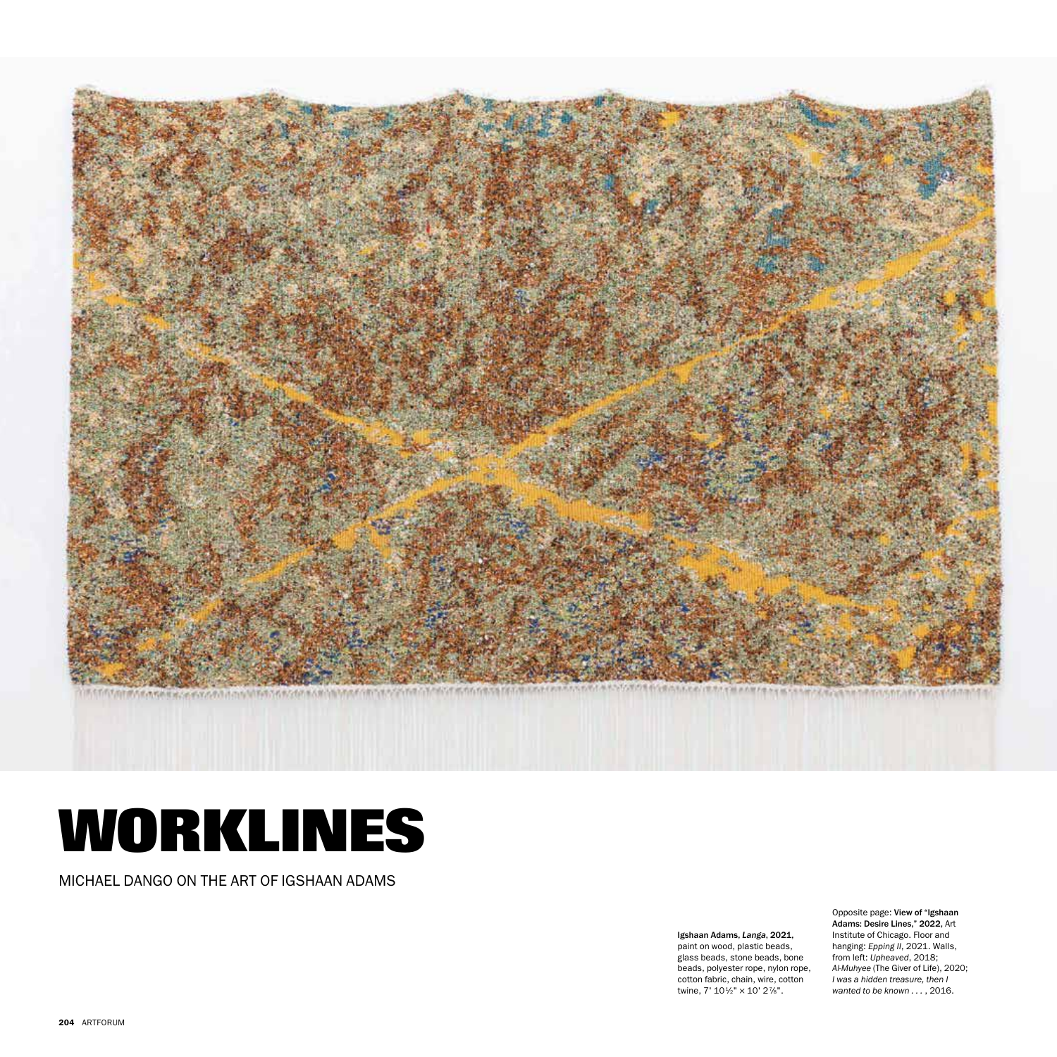

## **WORKLINES**

MICHAEL DANGO ON THE ART OF IGSHAAN ADAMS

**Igshaan Adams,** *Langa***, 2021,**<br>paint on wood, plastic beads, glass beads, stone beads, bone beads, polyester rope, nylon rope, cotton fabric, chain, wire, cotton twine,  $7'$   $10\frac{1}{2}$ "  $\times$   $10'$   $2\frac{7}{8}$ ".

Opposite page: View of "Igshaan Adams: Desire Lines," 2022, Art Institute of Chicago. Floor and hanging: *Epping II*, 2021. Walls, from left: *Upheaved*, 2018; *Al-Muhyee* (The Giver of Life), 2020; *I was a hidden treasure, then I wanted to be known . . .* , 2016.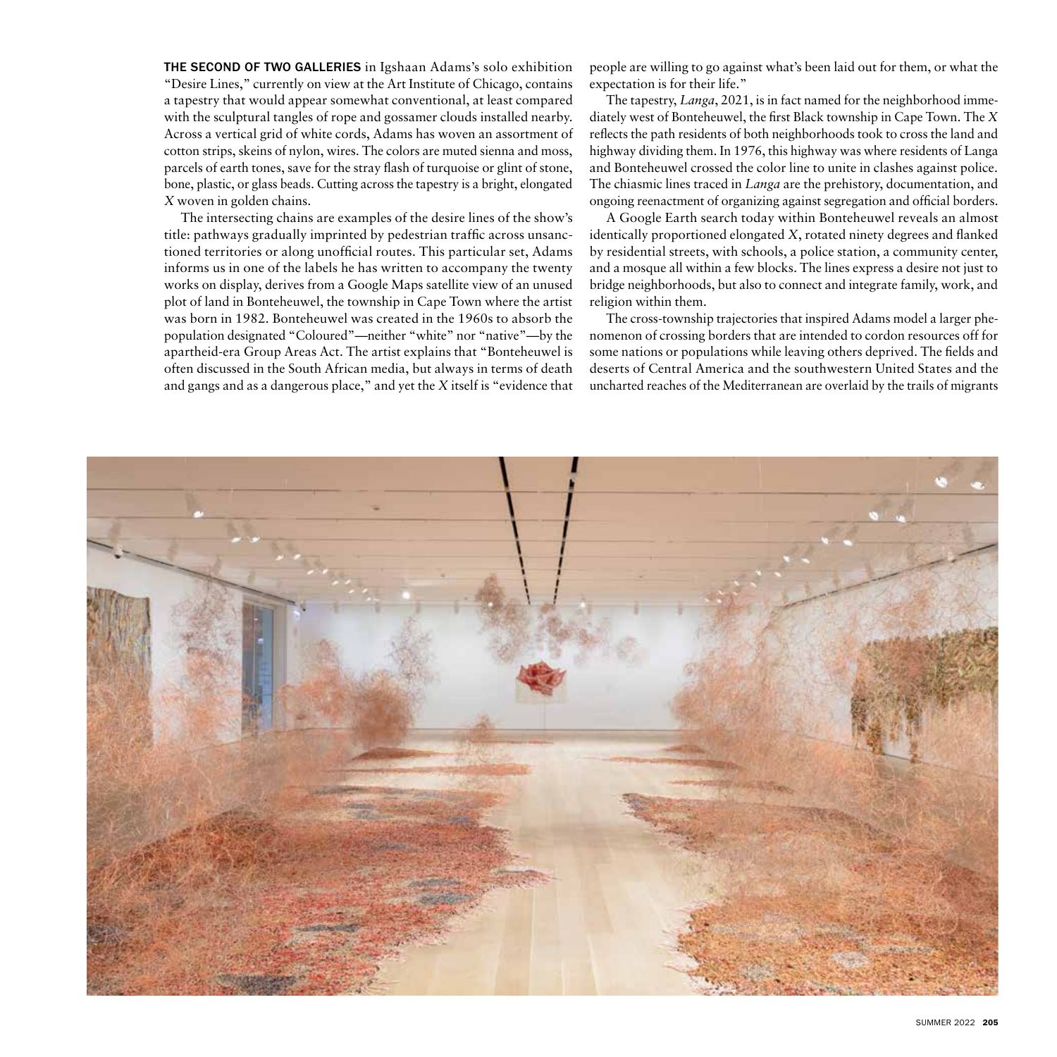THE SECOND OF TWO GALLERIES in Igshaan Adams's solo exhibition "Desire Lines," currently on view at the Art Institute of Chicago, contains a tapestry that would appear somewhat conventional, at least compared with the sculptural tangles of rope and gossamer clouds installed nearby. Across a vertical grid of white cords, Adams has woven an assortment of cotton strips, skeins of nylon, wires. The colors are muted sienna and moss, parcels of earth tones, save for the stray flash of turquoise or glint of stone, bone, plastic, or glass beads. Cutting across the tapestry is a bright, elongated *X* woven in golden chains.

The intersecting chains are examples of the desire lines of the show's title: pathways gradually imprinted by pedestrian traffic across unsanctioned territories or along unofficial routes. This particular set, Adams informs us in one of the labels he has written to accompany the twenty works on display, derives from a Google Maps satellite view of an unused plot of land in Bonteheuwel, the township in Cape Town where the artist was born in 1982. Bonteheuwel was created in the 1960s to absorb the population designated "Coloured"—neither "white" nor "native"—by the apartheid-era Group Areas Act. The artist explains that "Bonteheuwel is often discussed in the South African media, but always in terms of death and gangs and as a dangerous place," and yet the *X* itself is "evidence that

people are willing to go against what's been laid out for them, or what the expectation is for their life."

The tapestry, *Langa*, 2021, is in fact named for the neighborhood immediately west of Bonteheuwel, the first Black township in Cape Town. The *X* reflects the path residents of both neighborhoods took to cross the land and highway dividing them. In 1976, this highway was where residents of Langa and Bonteheuwel crossed the color line to unite in clashes against police. The chiasmic lines traced in *Langa* are the prehistory, documentation, and ongoing reenactment of organizing against segregation and official borders.

A Google Earth search today within Bonteheuwel reveals an almost identically proportioned elongated *X*, rotated ninety degrees and flanked by residential streets, with schools, a police station, a community center, and a mosque all within a few blocks. The lines express a desire not just to bridge neighborhoods, but also to connect and integrate family, work, and religion within them.

The cross-township trajectories that inspired Adams model a larger phenomenon of crossing borders that are intended to cordon resources off for some nations or populations while leaving others deprived. The fields and deserts of Central America and the southwestern United States and the uncharted reaches of the Mediterranean are overlaid by the trails of migrants

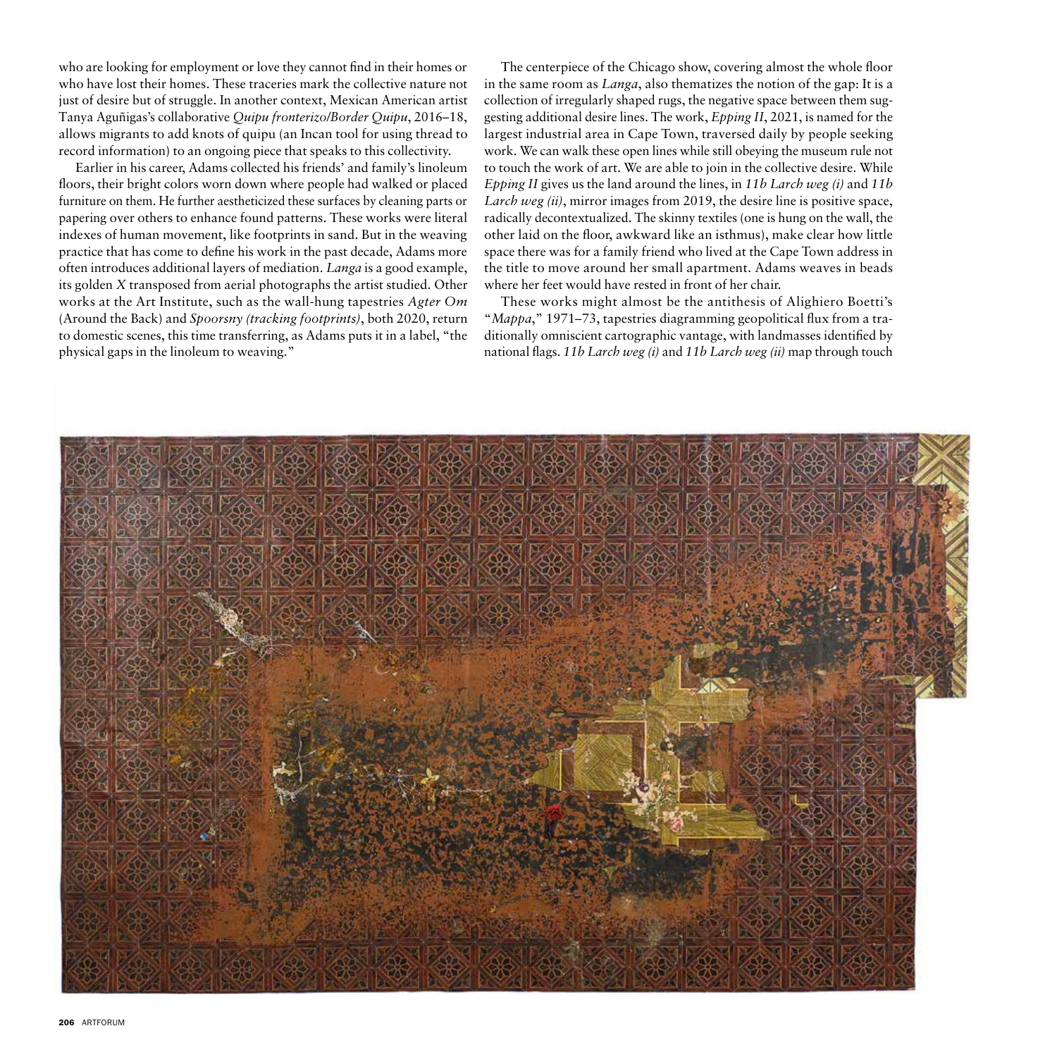who are looking for employment or love they cannot find in their homes or who have lost their homes. These traceries mark the collective nature not just of desire but of struggle. In another context, Mexican American artist Tanya Aguñigas's collaborative *Quipu fronterizo/Border Quipu*, 2016–18, allows migrants to add knots of quipu (an Incan tool for using thread to record information) to an ongoing piece that speaks to this collectivity.

Earlier in his career, Adams collected his friends' and family's linoleum floors, their bright colors worn down where people had walked or placed furniture on them. He further aestheticized these surfaces by cleaning parts or papering over others to enhance found patterns. These works were literal indexes of human movement, like footprints in sand. But in the weaving practice that has come to define his work in the past decade, Adams more often introduces additional layers of mediation. *Langa* is a good example, its golden *X* transposed from aerial photographs the artist studied. Other works at the Art Institute, such as the wall-hung tapestries *Agter Om*  (Around the Back) and *Spoorsny (tracking footprints)*, both 2020, return to domestic scenes, this time transferring, as Adams puts it in a label, "the physical gaps in the linoleum to weaving."

The centerpiece of the Chicago show, covering almost the whole floor in the same room as *Langa*, also thematizes the notion of the gap: It is a collection of irregularly shaped rugs, the negative space between them suggesting additional desire lines. The work, *Epping II*, 2021, is named for the largest industrial area in Cape Town, traversed daily by people seeking work. We can walk these open lines while still obeying the museum rule not to touch the work of art. We are able to join in the collective desire. While *Epping II* gives us the land around the lines, in *11b Larch weg (i)* and *11b Larch weg (ii)*, mirror images from 2019, the desire line is positive space, radically decontextualized. The skinny textiles (one is hung on the wall, the other laid on the floor, awkward like an isthmus), make clear how little space there was for a family friend who lived at the Cape Town address in the title to move around her small apartment. Adams weaves in beads where her feet would have rested in front of her chair.

These works might almost be the antithesis of Alighiero Boetti's "*Mappa*," 1971–73, tapestries diagramming geopolitical flux from a traditionally omniscient cartographic vantage, with landmasses identified by national flags. *11b Larch weg (i)* and *11b Larch weg (ii)* map through touch

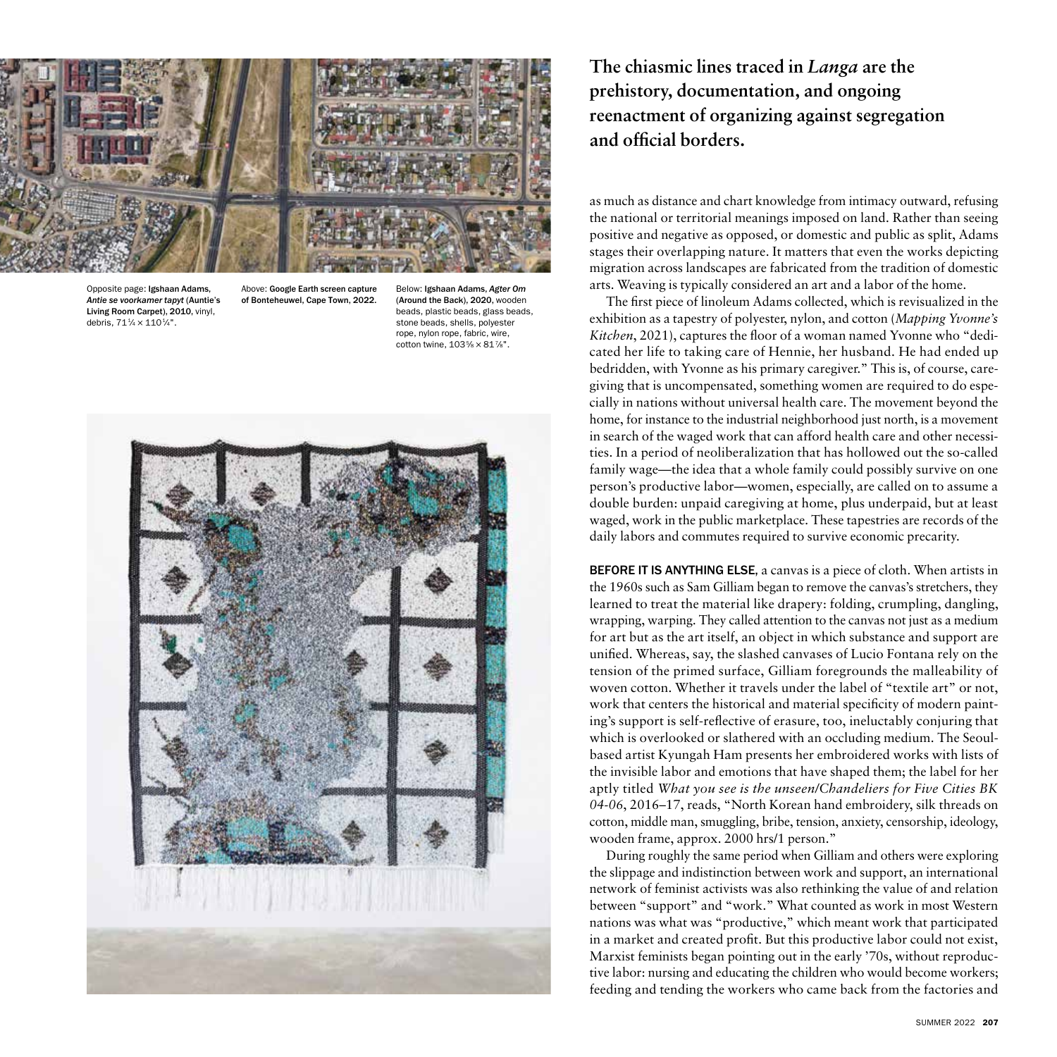

Opposite page: Igshaan Adams, *Antie se voorkamer tapyt* (Auntie's Living Room Carpet), 2010, vinyl, debris,  $71\frac{1}{4} \times 110\frac{1}{4}$ ".

Above: Google Earth screen capture of Bonteheuwel, Cape Town, 2022.

Below: Igshaan Adams, *Agter Om* (Around the Back), 2020, wooden beads, plastic beads, glass beads, stone beads, shells, polyester rope, nylon rope, fabric, wire, cotton twine,  $103\% \times 81\%$ ".



**The chiasmic lines traced in** *Langa* **are the prehistory, documentation, and ongoing reenactment of organizing against segregation and official borders.**

as much as distance and chart knowledge from intimacy outward, refusing the national or territorial meanings imposed on land. Rather than seeing positive and negative as opposed, or domestic and public as split, Adams stages their overlapping nature. It matters that even the works depicting migration across landscapes are fabricated from the tradition of domestic arts. Weaving is typically considered an art and a labor of the home.

The first piece of linoleum Adams collected, which is revisualized in the exhibition as a tapestry of polyester, nylon, and cotton (*Mapping Yvonne's Kitchen*, 2021), captures the floor of a woman named Yvonne who "dedicated her life to taking care of Hennie, her husband. He had ended up bedridden, with Yvonne as his primary caregiver." This is, of course, caregiving that is uncompensated, something women are required to do especially in nations without universal health care. The movement beyond the home, for instance to the industrial neighborhood just north, is a movement in search of the waged work that can afford health care and other necessities. In a period of neoliberalization that has hollowed out the so-called family wage—the idea that a whole family could possibly survive on one person's productive labor—women, especially, are called on to assume a double burden: unpaid caregiving at home, plus underpaid, but at least waged, work in the public marketplace. These tapestries are records of the daily labors and commutes required to survive economic precarity.

BEFORE IT IS ANYTHING ELSE, a canvas is a piece of cloth. When artists in the 1960s such as Sam Gilliam began to remove the canvas's stretchers, they learned to treat the material like drapery: folding, crumpling, dangling, wrapping, warping. They called attention to the canvas not just as a medium for art but as the art itself, an object in which substance and support are unified. Whereas, say, the slashed canvases of Lucio Fontana rely on the tension of the primed surface, Gilliam foregrounds the malleability of woven cotton. Whether it travels under the label of "textile art" or not, work that centers the historical and material specificity of modern painting's support is self-reflective of erasure, too, ineluctably conjuring that which is overlooked or slathered with an occluding medium. The Seoulbased artist Kyungah Ham presents her embroidered works with lists of the invisible labor and emotions that have shaped them; the label for her aptly titled *What you see is the unseen/Chandeliers for Five Cities BK 04-06*, 2016–17, reads, "North Korean hand embroidery, silk threads on cotton, middle man, smuggling, bribe, tension, anxiety, censorship, ideology, wooden frame, approx. 2000 hrs/1 person."

During roughly the same period when Gilliam and others were exploring the slippage and indistinction between work and support, an international network of feminist activists was also rethinking the value of and relation between "support" and "work." What counted as work in most Western nations was what was "productive," which meant work that participated in a market and created profit. But this productive labor could not exist, Marxist feminists began pointing out in the early '70s, without reproductive labor: nursing and educating the children who would become workers; feeding and tending the workers who came back from the factories and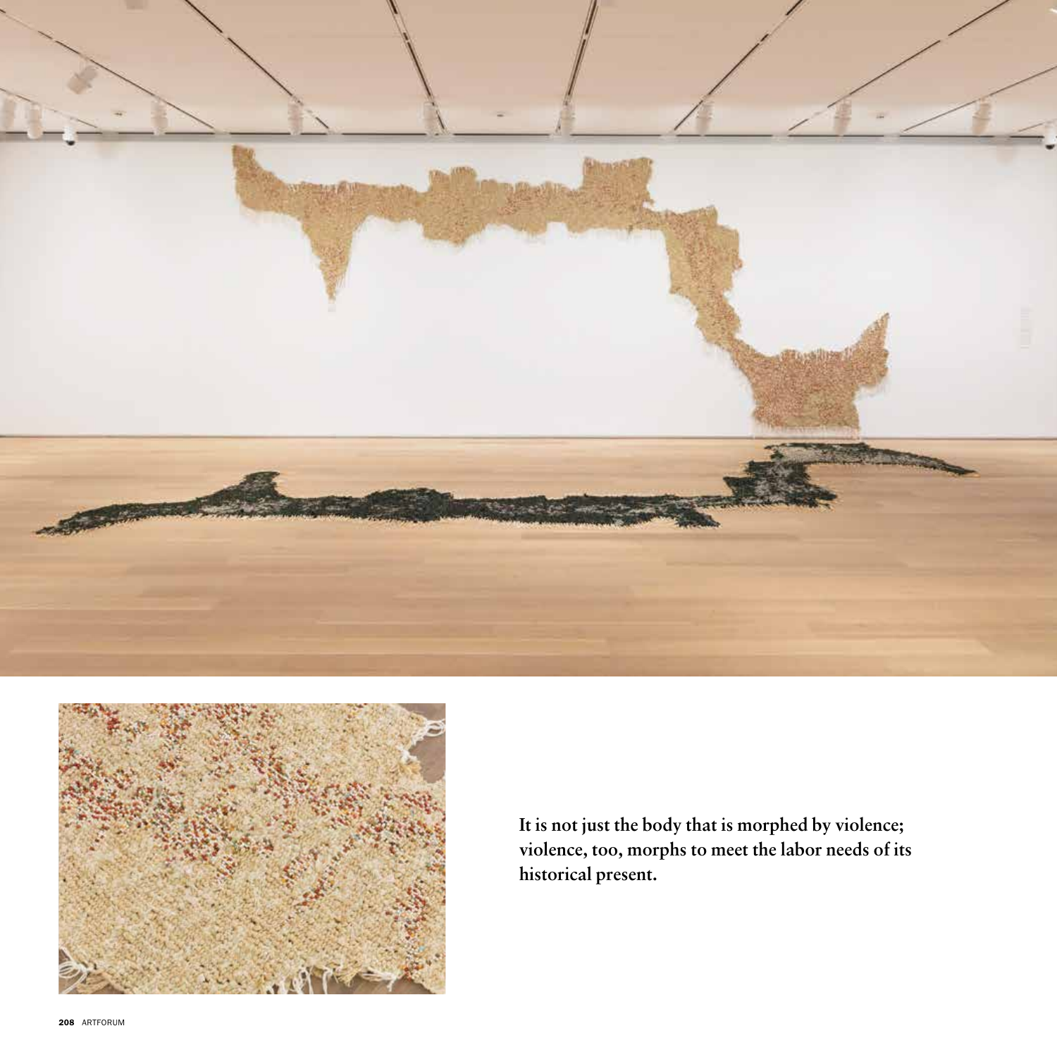



**It is not just the body that is morphed by violence; violence, too, morphs to meet the labor needs of its historical present.**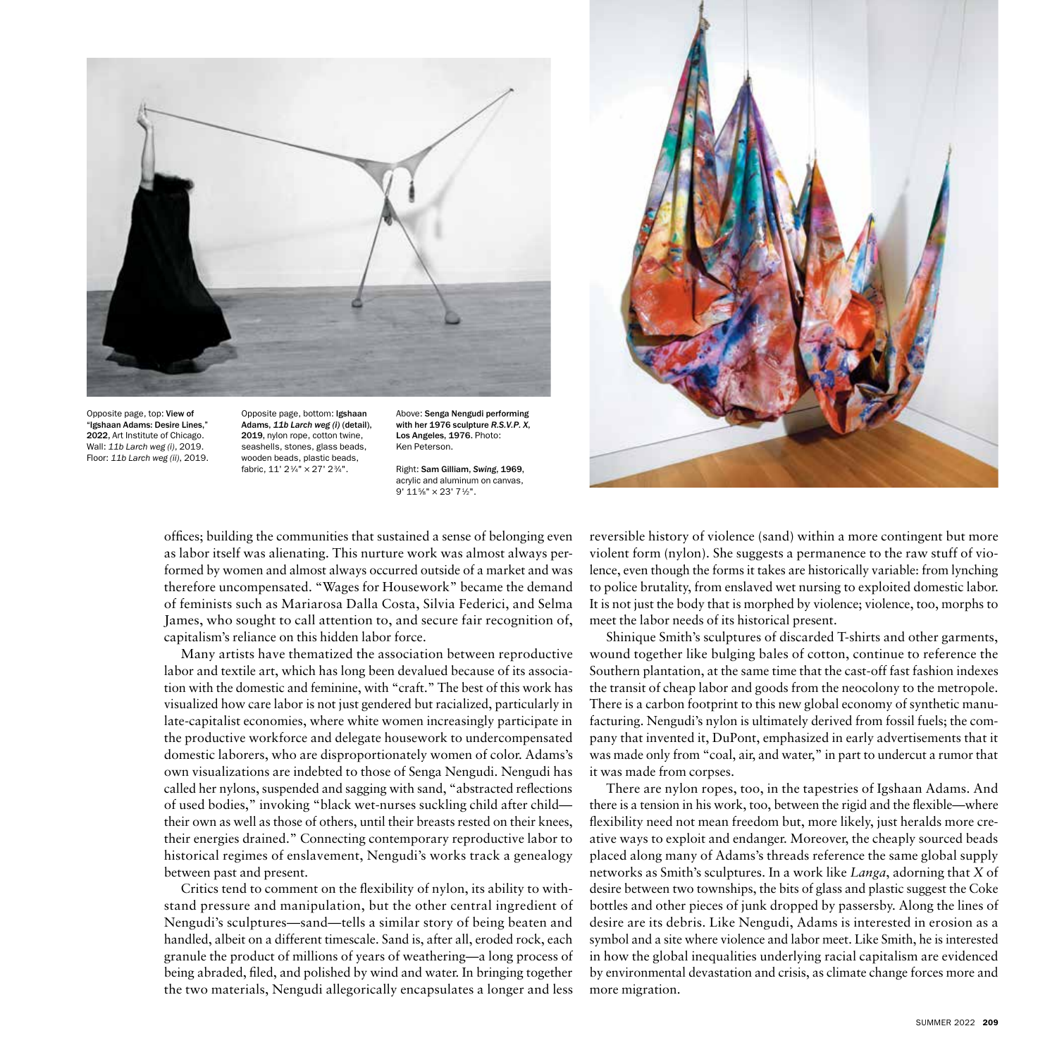

Opposite page, top: View of "Igshaan Adams: Desire Lines," 2022, Art Institute of Chicago. Wall: *11b Larch weg (i)*, 2019. Floor: *11b Larch weg (ii)*, 2019. Opposite page, bottom: Igshaan Adams, *11b Larch weg (i)* (detail), 2019, nylon rope, cotton twine, seashells, stones, glass beads, wooden beads, plastic beads, fabric, 11' 21⁄4" × 27' 23⁄4".

Above: Senga Nengudi performing with her 1976 sculpture *R.S.V.P. X*, Los Angeles, 1976. Photo: Ken Peterson.

Right: Sam Gilliam, *Swing*, 1969, acrylic and aluminum on canvas, 9' 115⁄8" × 23' 71⁄2".



offices; building the communities that sustained a sense of belonging even as labor itself was alienating. This nurture work was almost always performed by women and almost always occurred outside of a market and was therefore uncompensated. "Wages for Housework" became the demand of feminists such as Mariarosa Dalla Costa, Silvia Federici, and Selma James, who sought to call attention to, and secure fair recognition of, capitalism's reliance on this hidden labor force.

Many artists have thematized the association between reproductive labor and textile art, which has long been devalued because of its association with the domestic and feminine, with "craft." The best of this work has visualized how care labor is not just gendered but racialized, particularly in late-capitalist economies, where white women increasingly participate in the productive workforce and delegate housework to undercompensated domestic laborers, who are disproportionately women of color. Adams's own visualizations are indebted to those of Senga Nengudi. Nengudi has called her nylons, suspended and sagging with sand, "abstracted reflections of used bodies," invoking "black wet-nurses suckling child after child their own as well as those of others, until their breasts rested on their knees, their energies drained." Connecting contemporary reproductive labor to historical regimes of enslavement, Nengudi's works track a genealogy between past and present.

Critics tend to comment on the flexibility of nylon, its ability to withstand pressure and manipulation, but the other central ingredient of Nengudi's sculptures—sand—tells a similar story of being beaten and handled, albeit on a different timescale. Sand is, after all, eroded rock, each granule the product of millions of years of weathering—a long process of being abraded, filed, and polished by wind and water. In bringing together the two materials, Nengudi allegorically encapsulates a longer and less

reversible history of violence (sand) within a more contingent but more violent form (nylon). She suggests a permanence to the raw stuff of violence, even though the forms it takes are historically variable: from lynching to police brutality, from enslaved wet nursing to exploited domestic labor. It is not just the body that is morphed by violence; violence, too, morphs to meet the labor needs of its historical present.

Shinique Smith's sculptures of discarded T-shirts and other garments, wound together like bulging bales of cotton, continue to reference the Southern plantation, at the same time that the cast-off fast fashion indexes the transit of cheap labor and goods from the neocolony to the metropole. There is a carbon footprint to this new global economy of synthetic manufacturing. Nengudi's nylon is ultimately derived from fossil fuels; the company that invented it, DuPont, emphasized in early advertisements that it was made only from "coal, air, and water," in part to undercut a rumor that it was made from corpses.

There are nylon ropes, too, in the tapestries of Igshaan Adams. And there is a tension in his work, too, between the rigid and the flexible—where flexibility need not mean freedom but, more likely, just heralds more creative ways to exploit and endanger. Moreover, the cheaply sourced beads placed along many of Adams's threads reference the same global supply networks as Smith's sculptures. In a work like *Langa*, adorning that *X* of desire between two townships, the bits of glass and plastic suggest the Coke bottles and other pieces of junk dropped by passersby. Along the lines of desire are its debris. Like Nengudi, Adams is interested in erosion as a symbol and a site where violence and labor meet. Like Smith, he is interested in how the global inequalities underlying racial capitalism are evidenced by environmental devastation and crisis, as climate change forces more and more migration.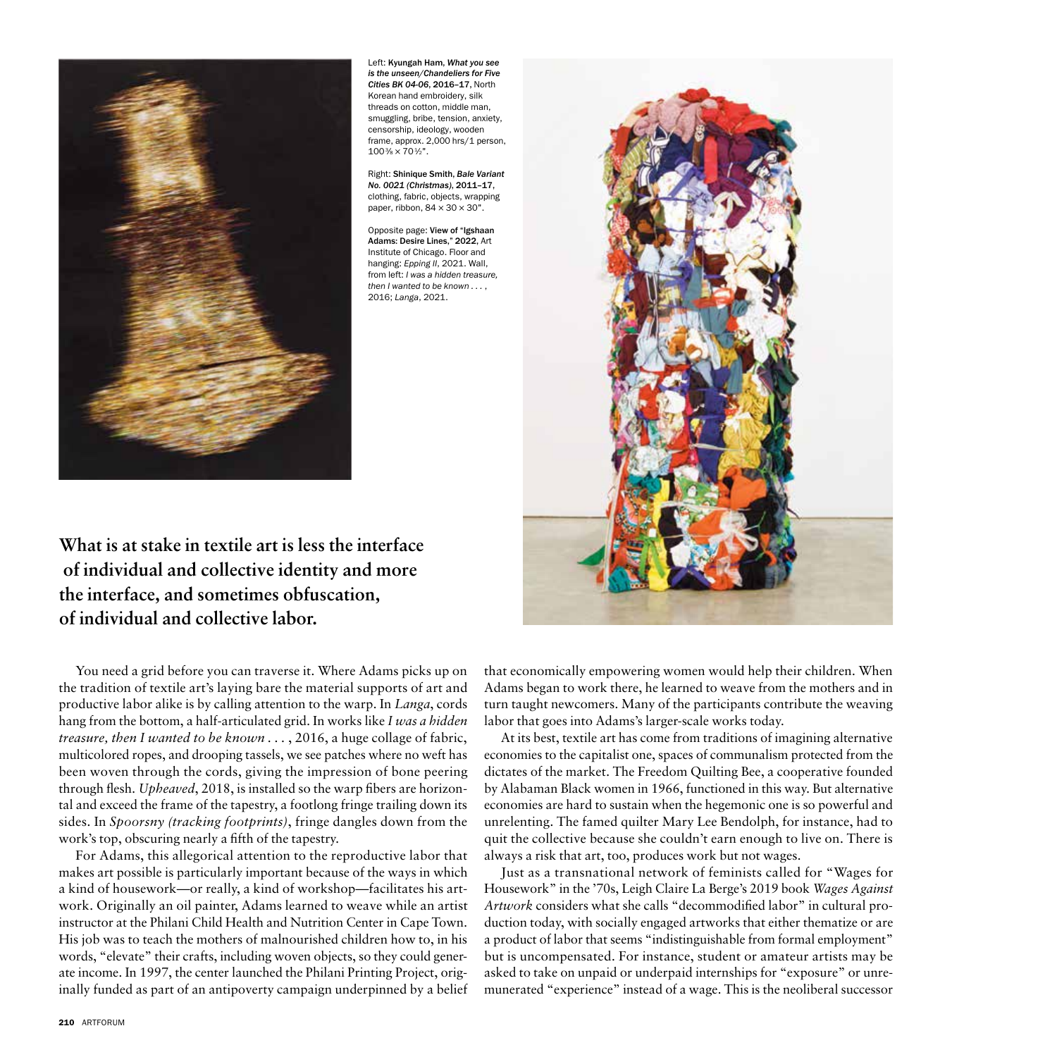

Left: Kyungah Ham, *What you see is the unseen/Chandeliers for Five Cities BK 04-06*, 2016–17, North Korean hand embroidery, silk threads on cotton, middle man, smuggling, bribe, tension, anxiety, censorship, ideology, wooden frame, approx. 2,000 hrs/1 person,  $100\% \times 70\frac{1}{2}$ ".

Right: Shinique Smith, *Bale Variant No. 0021 (Christmas)*, 2011–17, clothing, fabric, objects, wrapping paper, ribbon,  $84 \times 30 \times 30$ ".

Opposite page: View of "Igshaan Adams: Desire Lines," 2022, Art Institute of Chicago. Floor and hanging: *Epping II*, 2021. Wall, from left: *I was a hidden treasure*. *then I wanted to be known . . .* , 2016; *Langa*, 2021.

**What is at stake in textile art is less the interface of individual and collective identity and more the interface, and sometimes obfuscation, of individual and collective labor.**

You need a grid before you can traverse it. Where Adams picks up on the tradition of textile art's laying bare the material supports of art and productive labor alike is by calling attention to the warp. In *Langa*, cords hang from the bottom, a half-articulated grid. In works like *I was a hidden treasure, then I wanted to be known . . .* , 2016, a huge collage of fabric, multicolored ropes, and drooping tassels, we see patches where no weft has been woven through the cords, giving the impression of bone peering through flesh. *Upheaved*, 2018, is installed so the warp fibers are horizontal and exceed the frame of the tapestry, a footlong fringe trailing down its sides. In *Spoorsny (tracking footprints)*, fringe dangles down from the work's top, obscuring nearly a fifth of the tapestry.

For Adams, this allegorical attention to the reproductive labor that makes art possible is particularly important because of the ways in which a kind of housework—or really, a kind of workshop—facilitates his artwork. Originally an oil painter, Adams learned to weave while an artist instructor at the Philani Child Health and Nutrition Center in Cape Town. His job was to teach the mothers of malnourished children how to, in his words, "elevate" their crafts, including woven objects, so they could generate income. In 1997, the center launched the Philani Printing Project, originally funded as part of an antipoverty campaign underpinned by a belief



that economically empowering women would help their children. When Adams began to work there, he learned to weave from the mothers and in turn taught newcomers. Many of the participants contribute the weaving labor that goes into Adams's larger-scale works today.

At its best, textile art has come from traditions of imagining alternative economies to the capitalist one, spaces of communalism protected from the dictates of the market. The Freedom Quilting Bee, a cooperative founded by Alabaman Black women in 1966, functioned in this way. But alternative economies are hard to sustain when the hegemonic one is so powerful and unrelenting. The famed quilter Mary Lee Bendolph, for instance, had to quit the collective because she couldn't earn enough to live on. There is always a risk that art, too, produces work but not wages.

Just as a transnational network of feminists called for "Wages for Housework" in the '70s, Leigh Claire La Berge's 2019 book *Wages Against Artwork* considers what she calls "decommodified labor" in cultural production today, with socially engaged artworks that either thematize or are a product of labor that seems "indistinguishable from formal employment" but is uncompensated. For instance, student or amateur artists may be asked to take on unpaid or underpaid internships for "exposure" or unremunerated "experience" instead of a wage. This is the neoliberal successor